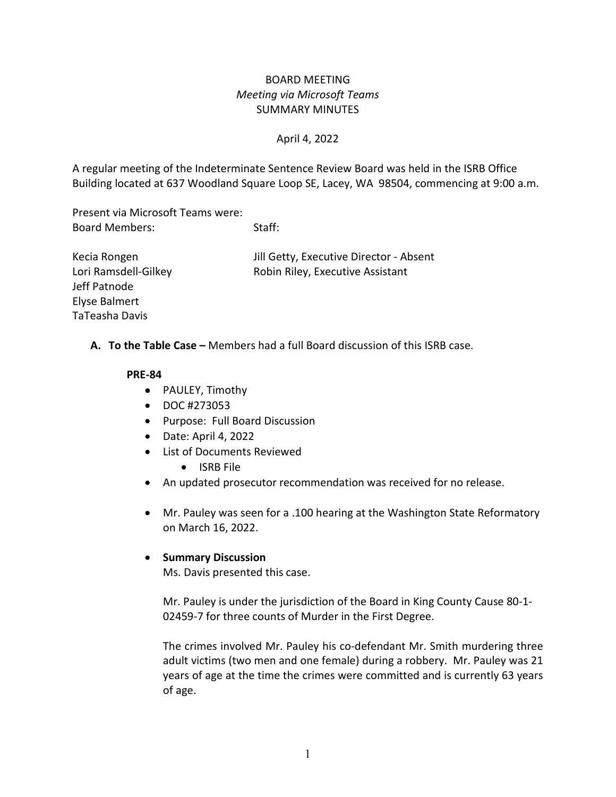# BOARD MEETING *Meeting via Microsoft Teams* SUMMARY MINUTES

### April 4, 2022

A regular meeting of the Indeterminate Sentence Review Board was held in the ISRB Office Building located at 637 Woodland Square Loop SE, Lacey, WA 98504, commencing at 9:00 a.m.

Present via Microsoft Teams were: Board Members: Staff:

| Kecia Rongen         | Jill Getty, Executive Director - Absent |
|----------------------|-----------------------------------------|
| Lori Ramsdell-Gilkey | Robin Riley, Executive Assistant        |
| Jeff Patnode         |                                         |
| Elyse Balmert        |                                         |
| TaTeasha Davis       |                                         |

**A. To the Table Case –** Members had a full Board discussion of this ISRB case.

#### **PRE-84**

- PAULEY, Timothy
- DOC #273053
- Purpose: Full Board Discussion
- Date: April 4, 2022
- List of Documents Reviewed
	- ISRB File
- An updated prosecutor recommendation was received for no release.
- Mr. Pauley was seen for a .100 hearing at the Washington State Reformatory on March 16, 2022.

#### • **Summary Discussion**

Ms. Davis presented this case.

Mr. Pauley is under the jurisdiction of the Board in King County Cause 80-1- 02459-7 for three counts of Murder in the First Degree.

The crimes involved Mr. Pauley his co-defendant Mr. Smith murdering three adult victims (two men and one female) during a robbery. Mr. Pauley was 21 years of age at the time the crimes were committed and is currently 63 years of age.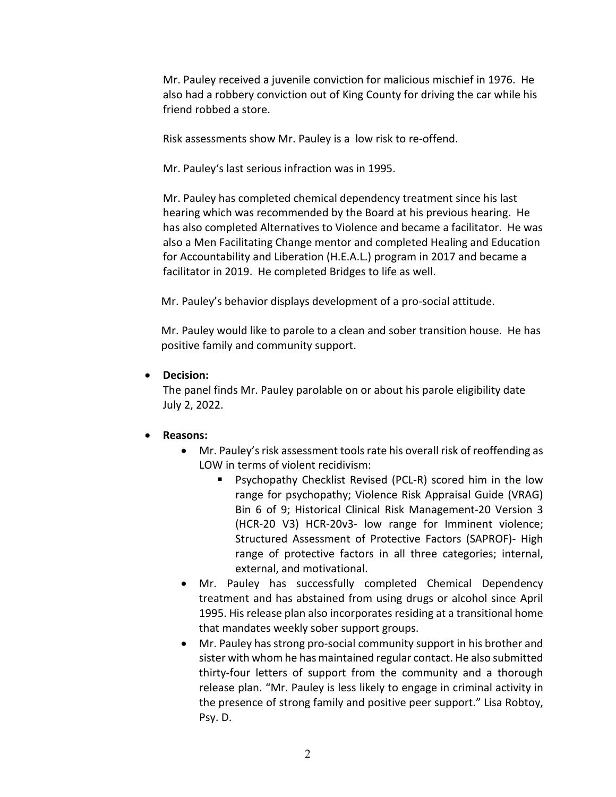Mr. Pauley received a juvenile conviction for malicious mischief in 1976. He also had a robbery conviction out of King County for driving the car while his friend robbed a store.

Risk assessments show Mr. Pauley is a low risk to re-offend.

Mr. Pauley's last serious infraction was in 1995.

Mr. Pauley has completed chemical dependency treatment since his last hearing which was recommended by the Board at his previous hearing. He has also completed Alternatives to Violence and became a facilitator. He was also a Men Facilitating Change mentor and completed Healing and Education for Accountability and Liberation (H.E.A.L.) program in 2017 and became a facilitator in 2019. He completed Bridges to life as well.

Mr. Pauley's behavior displays development of a pro-social attitude.

 Mr. Pauley would like to parole to a clean and sober transition house. He has positive family and community support.

• **Decision:** 

The panel finds Mr. Pauley parolable on or about his parole eligibility date July 2, 2022.

#### • **Reasons:**

- Mr. Pauley's risk assessment tools rate his overall risk of reoffending as LOW in terms of violent recidivism:
	- Psychopathy Checklist Revised (PCL-R) scored him in the low range for psychopathy; Violence Risk Appraisal Guide (VRAG) Bin 6 of 9; Historical Clinical Risk Management-20 Version 3 (HCR-20 V3) HCR-20v3- low range for Imminent violence; Structured Assessment of Protective Factors (SAPROF)- High range of protective factors in all three categories; internal, external, and motivational.
- Mr. Pauley has successfully completed Chemical Dependency treatment and has abstained from using drugs or alcohol since April 1995. His release plan also incorporates residing at a transitional home that mandates weekly sober support groups.
- Mr. Pauley has strong pro-social community support in his brother and sister with whom he has maintained regular contact. He also submitted thirty-four letters of support from the community and a thorough release plan. "Mr. Pauley is less likely to engage in criminal activity in the presence of strong family and positive peer support." Lisa Robtoy, Psy. D.